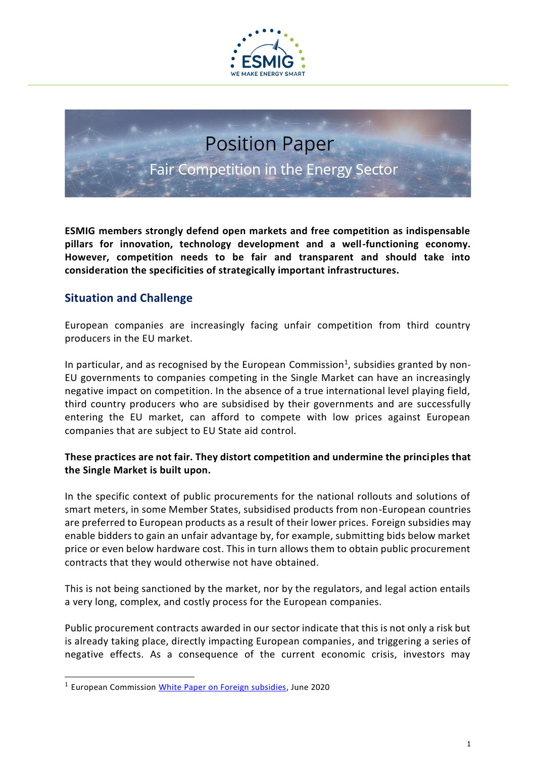

# **Position Paper** Fair Competition in the Energy Sector

**ESMIG members strongly defend open markets and free competition as indispensable pillars for innovation, technology development and a well-functioning economy. However, competition needs to be fair and transparent and should take into consideration the specificities of strategically important infrastructures.**

# **Situation and Challenge**

European companies are increasingly facing unfair competition from third country producers in the EU market.

In particular, and as recognised by the European Commission<sup>1</sup>, subsidies granted by non-EU governments to companies competing in the Single Market can have an increasingly negative impact on competition. In the absence of a true international level playing field, third country producers who are subsidised by their governments and are successfully entering the EU market, can afford to compete with low prices against European companies that are subject to EU State aid control.

#### **These practices are not fair. They distort competition and undermine the principles that the Single Market is built upon.**

In the specific context of public procurements for the national rollouts and solutions of smart meters, in some Member States, subsidised products from non-European countries are preferred to European products as a result of their lower prices. Foreign subsidies may enable bidders to gain an unfair advantage by, for example, submitting bids below market price or even below hardware cost. This in turn allows them to obtain public procurement contracts that they would otherwise not have obtained.

This is not being sanctioned by the market, nor by the regulators, and legal action entails a very long, complex, and costly process for the European companies.

Public procurement contracts awarded in our sector indicate that this is not only a risk but is already taking place, directly impacting European companies, and triggering a series of negative effects. As a consequence of the current economic crisis, investors may

<sup>1</sup> European Commission [White Paper on Foreign subsidies,](https://ec.europa.eu/competition/international/overview/foreign_subsidies_white_paper.pdf) June 2020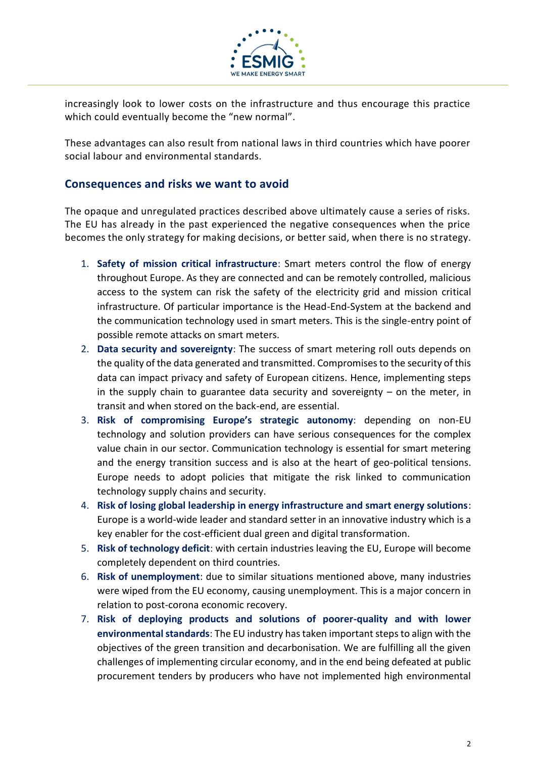

increasingly look to lower costs on the infrastructure and thus encourage this practice which could eventually become the "new normal".

These advantages can also result from national laws in third countries which have poorer social labour and environmental standards.

### **Consequences and risks we want to avoid**

The opaque and unregulated practices described above ultimately cause a series of risks. The EU has already in the past experienced the negative consequences when the price becomes the only strategy for making decisions, or better said, when there is no strategy.

- 1. **Safety of mission critical infrastructure**: Smart meters control the flow of energy throughout Europe. As they are connected and can be remotely controlled, malicious access to the system can risk the safety of the electricity grid and mission critical infrastructure. Of particular importance is the Head-End-System at the backend and the communication technology used in smart meters. This is the single-entry point of possible remote attacks on smart meters.
- 2. **Data security and sovereignty**: The success of smart metering roll outs depends on the quality of the data generated and transmitted. Compromises to the security of this data can impact privacy and safety of European citizens. Hence, implementing steps in the supply chain to guarantee data security and sovereignty  $-$  on the meter, in transit and when stored on the back-end, are essential.
- 3. **Risk of compromising Europe's strategic autonomy**: depending on non-EU technology and solution providers can have serious consequences for the complex value chain in our sector. Communication technology is essential for smart metering and the energy transition success and is also at the heart of geo-political tensions. Europe needs to adopt policies that mitigate the risk linked to communication technology supply chains and security.
- 4. **Risk of losing global leadership in energy infrastructure and smart energy solutions**: Europe is a world-wide leader and standard setter in an innovative industry which is a key enabler for the cost-efficient dual green and digital transformation.
- 5. **Risk of technology deficit**: with certain industries leaving the EU, Europe will become completely dependent on third countries.
- 6. **Risk of unemployment**: due to similar situations mentioned above, many industries were wiped from the EU economy, causing unemployment. This is a major concern in relation to post-corona economic recovery.
- 7. **Risk of deploying products and solutions of poorer-quality and with lower environmental standards**: The EU industry has taken important steps to align with the objectives of the green transition and decarbonisation. We are fulfilling all the given challenges of implementing circular economy, and in the end being defeated at public procurement tenders by producers who have not implemented high environmental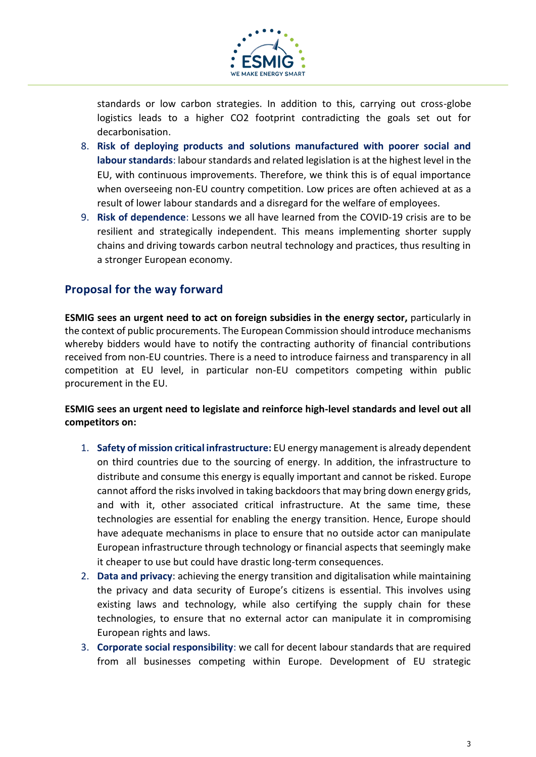

standards or low carbon strategies. In addition to this, carrying out cross-globe logistics leads to a higher CO2 footprint contradicting the goals set out for decarbonisation.

- 8. **Risk of deploying products and solutions manufactured with poorer social and labour standards**: labour standards and related legislation is at the highest level in the EU, with continuous improvements. Therefore, we think this is of equal importance when overseeing non-EU country competition. Low prices are often achieved at as a result of lower labour standards and a disregard for the welfare of employees.
- 9. **Risk of dependence**: Lessons we all have learned from the COVID-19 crisis are to be resilient and strategically independent. This means implementing shorter supply chains and driving towards carbon neutral technology and practices, thus resulting in a stronger European economy.

## **Proposal for the way forward**

**ESMIG sees an urgent need to act on foreign subsidies in the energy sector,** particularly in the context of public procurements. The European Commission should introduce mechanisms whereby bidders would have to notify the contracting authority of financial contributions received from non-EU countries. There is a need to introduce fairness and transparency in all competition at EU level, in particular non-EU competitors competing within public procurement in the EU.

#### **ESMIG sees an urgent need to legislate and reinforce high-level standards and level out all competitors on:**

- 1. **Safety of mission critical infrastructure:** EU energy management is already dependent on third countries due to the sourcing of energy. In addition, the infrastructure to distribute and consume this energy is equally important and cannot be risked. Europe cannot afford the risks involved in taking backdoors that may bring down energy grids, and with it, other associated critical infrastructure. At the same time, these technologies are essential for enabling the energy transition. Hence, Europe should have adequate mechanisms in place to ensure that no outside actor can manipulate European infrastructure through technology or financial aspects that seemingly make it cheaper to use but could have drastic long-term consequences.
- 2. **Data and privacy**: achieving the energy transition and digitalisation while maintaining the privacy and data security of Europe's citizens is essential. This involves using existing laws and technology, while also certifying the supply chain for these technologies, to ensure that no external actor can manipulate it in compromising European rights and laws.
- 3. **Corporate social responsibility**: we call for decent labour standards that are required from all businesses competing within Europe. Development of EU strategic